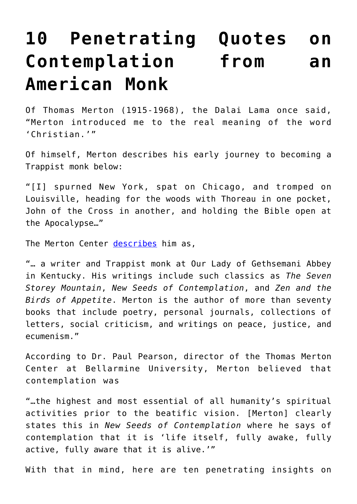## **[10 Penetrating Quotes on](https://intellectualtakeout.org/2016/02/10-penetrating-quotes-on-contemplation-from-an-american-monk/) [Contemplation from an](https://intellectualtakeout.org/2016/02/10-penetrating-quotes-on-contemplation-from-an-american-monk/) [American Monk](https://intellectualtakeout.org/2016/02/10-penetrating-quotes-on-contemplation-from-an-american-monk/)**

Of Thomas Merton (1915-1968), the Dalai Lama once said, "Merton introduced me to the real meaning of the word 'Christian.'"

Of himself, Merton describes his early journey to becoming a Trappist monk below:

"[I] spurned New York, spat on Chicago, and tromped on Louisville, heading for the woods with Thoreau in one pocket, John of the Cross in another, and holding the Bible open at the Apocalypse…"

The Merton Center [describes](http://www.merton.org/) him as,

"… a writer and Trappist monk at Our Lady of Gethsemani Abbey in Kentucky. His writings include such classics as *The Seven Storey Mountain*, *New Seeds of Contemplation*, and *Zen and the Birds of Appetite*. Merton is the author of more than seventy books that include poetry, personal journals, collections of letters, social criticism, and writings on peace, justice, and ecumenism."

According to Dr. Paul Pearson, director of the Thomas Merton Center at Bellarmine University, Merton believed that contemplation was

"…the highest and most essential of all humanity's spiritual activities prior to the beatific vision. [Merton] clearly states this in *New Seeds of Contemplation* where he says of contemplation that it is 'life itself, fully awake, fully active, fully aware that it is alive.'"

With that in mind, here are ten penetrating insights on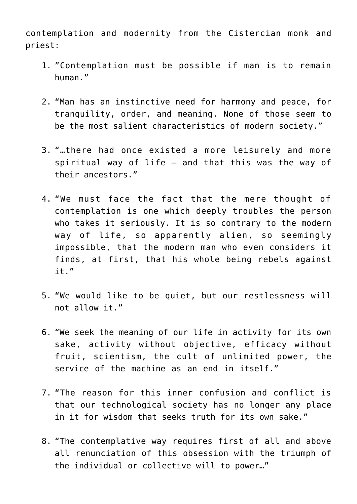contemplation and modernity from the Cistercian monk and priest:

- 1. "Contemplation must be possible if man is to remain human."
- 2. "Man has an instinctive need for harmony and peace, for tranquility, order, and meaning. None of those seem to be the most salient characteristics of modern society."
- 3. "…there had once existed a more leisurely and more spiritual way of life – and that this was the way of their ancestors."
- 4. "We must face the fact that the mere thought of contemplation is one which deeply troubles the person who takes it seriously. It is so contrary to the modern way of life, so apparently alien, so seemingly impossible, that the modern man who even considers it finds, at first, that his whole being rebels against it."
- 5. "We would like to be quiet, but our restlessness will not allow it."
- 6. "We seek the meaning of our life in activity for its own sake, activity without objective, efficacy without fruit, scientism, the cult of unlimited power, the service of the machine as an end in itself."
- 7. "The reason for this inner confusion and conflict is that our technological society has no longer any place in it for wisdom that seeks truth for its own sake."
- 8. "The contemplative way requires first of all and above all renunciation of this obsession with the triumph of the individual or collective will to power…"